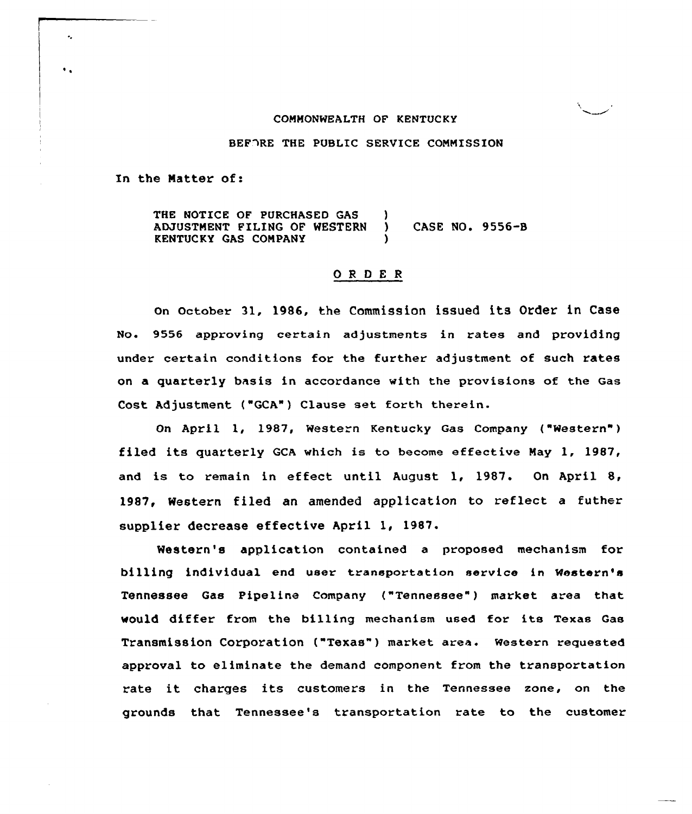### CONNONWEALTH OF KENTUCKY

BEFORE THE PUBLIC SERVICE COMMISSION

In the Matter of:

~ ~

 $\ddot{\phantom{a}}$ 

THE NOTICE OF PURCHASED GAS ( ADJUSTMENT FILING OF WESTERN ) CASE NO. 9556-B KENTUCKY GAS CONPANY )

#### ORDER

On October 31, 1986, the Commission issued its Order in Case No. 9556 approving certain adjustments in rates and providing under certain conditions for the further adjustment of such rates on a quarterly basis in accordance with the provisions of the Gas Cost Adjustment ("GCA") Clause set forth therein.

On April 1, 1987, Western Kentucky Gas Company ( Western" ) filed its quarterly QCA which is to become effective Nay 1, 1987, and is to remain in effect until August 1, 1987. On April 8, 1987, Western filed an amended application to reflect <sup>a</sup> futher supplier decrease effective April 1, 1987.

Western's application contained a proposed mechanism for billing individual end user transportation service in Western's Tennessee Gas Pipeline Company ("Tennessee") market area that would differ from the billing mechanism used for its Texas Gas Transmission Corporation ("Texas" ) market area. Western requested approval to eliminate the demand component from the transportation rate it charges its customers in the Tennessee zone, on the grounds that Tennessee's transportation rate to the customer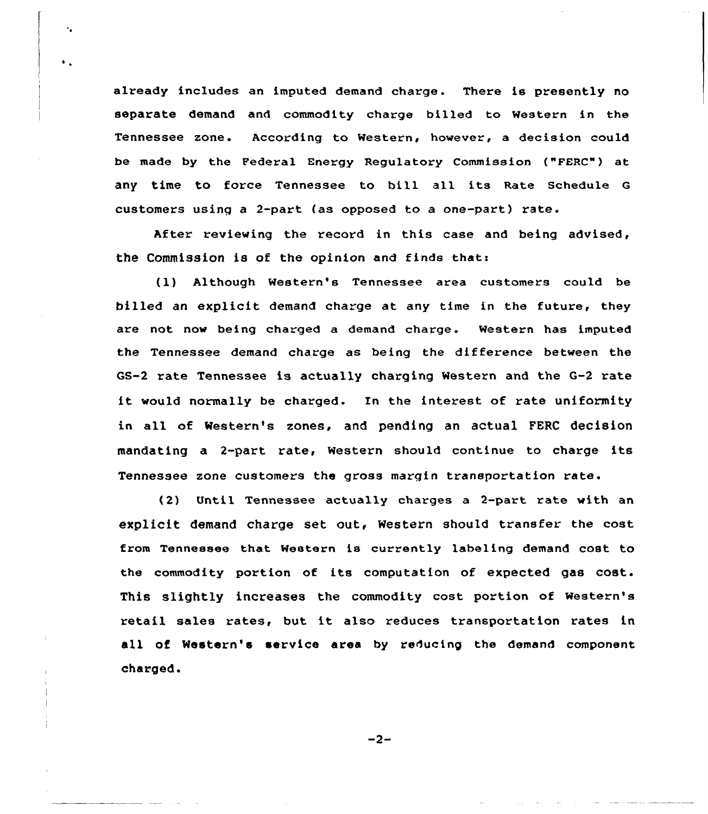already includes an imputed demand charge. There is presently no separate demand and commodity charge billed to Western in the Tennessee zone. According to Western, however, a decision could be made by the Federal Energy Regulatory Commission ("PERC") at any time to force Tennessee to bill all its Rate Schedule <sup>G</sup> customers using a 2-part (as opposed to a one-part) rate.

 $\cdot$  .

After reviewing the record in this case and being advised, the Commission is of the opinion and finds thats

(l) Although Western's Tennessee area customers could be billed an explicit demand charge at any time in the future, they are not now being charged a demand charge. Western has imputed the Tennessee demand charge as being the difference between the GS-2 rate Tennessee is actually charging Western and the G-2 rate it would normally be charged. In the interest of rate uniformity in all of Mestern's zones, and pending an actual FERC decision mandating a 2-part rate, Western should continue to charge its Tennessee zone customers the gross margin transportation rate.

(2) Until Tennessee actually charges a 2-part rate with an explicit demand charge set out, Western should transfer the cost from Tennessee that Western is currently labeling demand cost to the commodity portion of its computation of expected gas cost. This slightly increases the commodity cost portion of western's retail sales rates, but it also reduces transportation rates in all of Western's service area by reducing the demand component charged.

 $-2-$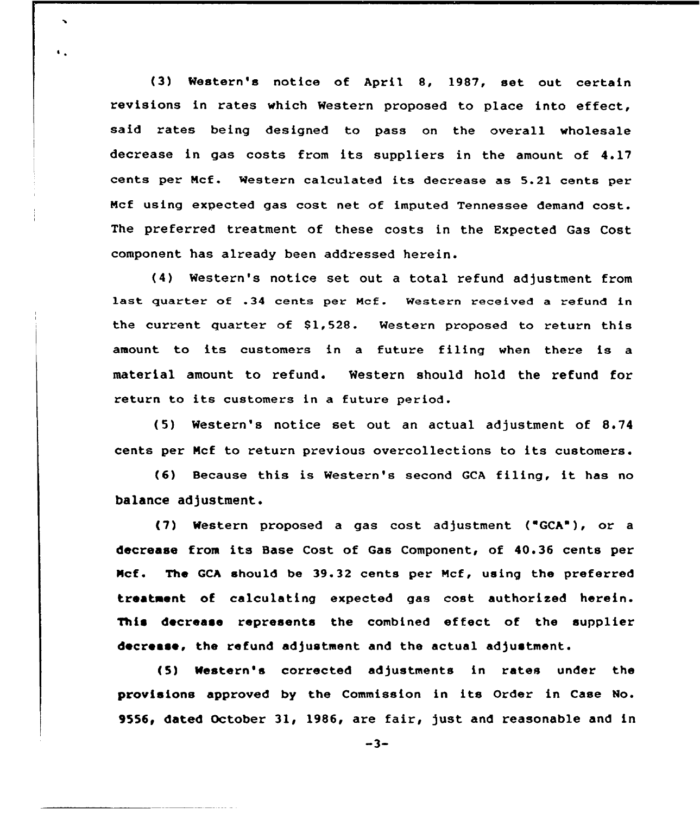(3) Western's notice of April 8, 1987, set out certain revisions in rates which Western proposed to place into effect, said rates being designed to pass on the overall wholesale decrease in gas costs from its suppliers in the amount of 4.17 cents per Ncf. Western calculated its decrease as 5.21 cents per Mcf using expected gas cost net of imputed Tennessee demand cost. The preferred treatment of these costs in the Expected Gas Cost component has already been addressed herein.

 $\ddot{\phantom{0}}$ 

 $\mathbf{G}_{\mathbf{A}}$ 

(4) Western's notice set out a total refund adjustment from last quarter of .34 cents per Mcf. Western received a refund in the current quarter of 81,528. Western proposed to return this amount to its customers in <sup>a</sup> future filing when there is <sup>a</sup> material amount to refund. Western should hold the refund for return to its customers in a future period.

(5) Western's notice set out an actual adjustment of 8.74 cents per Ncf to return previous overcollections to its customers.

(6) Because this is Western's second GCA filing, it has no balance adjustment.

(7) Western proposed a gas cost adjustment ( GCA"), or a decrease from its Base Cost of Gas Component, of 40.36 cents per Ncf. The GCh should be 39.32 cents per Ncf, using the preferred treatment of calculating expected gas cost authorised herein. This decrease represents the combined effect of the supplier decrease, the refund adjustment and the actual adjustment.

(5) Western's corrected adjustments in rates under the provisions approved by the Commission in its Order in Case No. 9556, dated October 31, 1986, are fair, just and reasonable and in

 $-3-$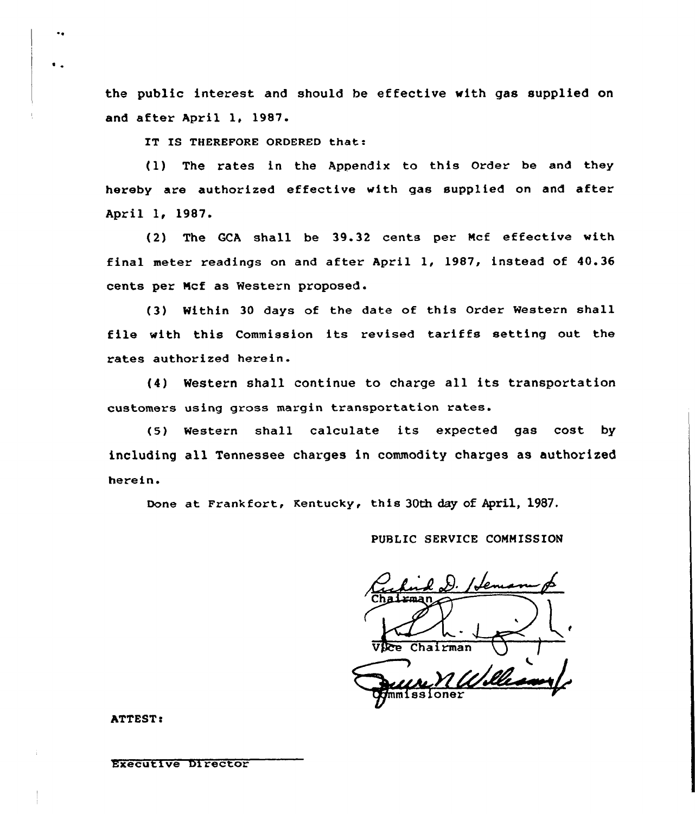the public interest and should be effective with gas supplied on and after April 1, 1987.

IT IS THEREFORE ORDERED that:

 $(1)$  The rates in the Appendix to this Order be and they hereby are authorized effective with gas supplied on and after April 1, 1987.

(2) The QCA shall be 39.32 cents per Ncf effective with final meter readings on and after April 1, 1987, instead of 40.36 cents per Ncf as Western proposed.

(3) Within 30 days of the date of this Order Western shall file with this Commission its revised tariffs setting out the rates authorized herein.

(4) Western shall continue to charge all its transportation customers using gross margin transportation rates.

(5) Western shall calculate its expected gas cost by including all Tennessee charges in commodity charges as authorised herein.

Done at Frankfort, Kentucky, this 30th day of April, 1987.

PUBLIC SERVICE COMMISSION

Jem  $Chalrman$ mmissioner

ATTEST:

Executive Director